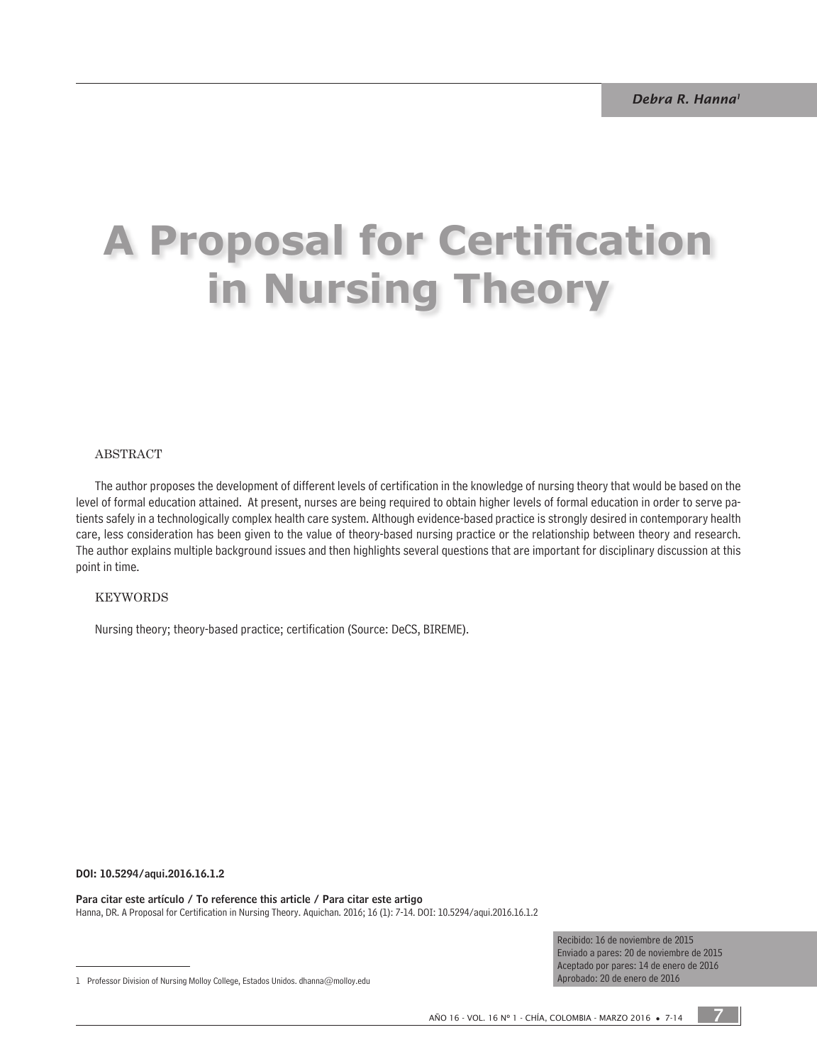# **A Proposal for Certification in Nursing Theory**

#### ABsTRACT

The author proposes the development of different levels of certification in the knowledge of nursing theory that would be based on the level of formal education attained. At present, nurses are being required to obtain higher levels of formal education in order to serve patients safely in a technologically complex health care system. Although evidence-based practice is strongly desired in contemporary health care, less consideration has been given to the value of theory-based nursing practice or the relationship between theory and research. The author explains multiple background issues and then highlights several questions that are important for disciplinary discussion at this point in time.

#### KeYWORDs

Nursing theory; theory-based practice; certification (Source: DeCS, BIREME).

#### DOI: 10.5294/aqui.2016.16.1.2

Para citar este artículo / To reference this article / Para citar este artigo Hanna, DR. A Proposal for Certification in Nursing Theory. Aquichan. 2016; 16 (1): 7-14. DOI: 10.5294/aqui.2016.16.1.2

> Recibido: 16 de noviembre de 2015 Enviado a pares: 20 de noviembre de 2015 Aceptado por pares: 14 de enero de 2016 Aprobado: 20 de enero de 2016

7

<sup>1</sup> Professor Division of Nursing Molloy College, Estados Unidos. dhanna@molloy.edu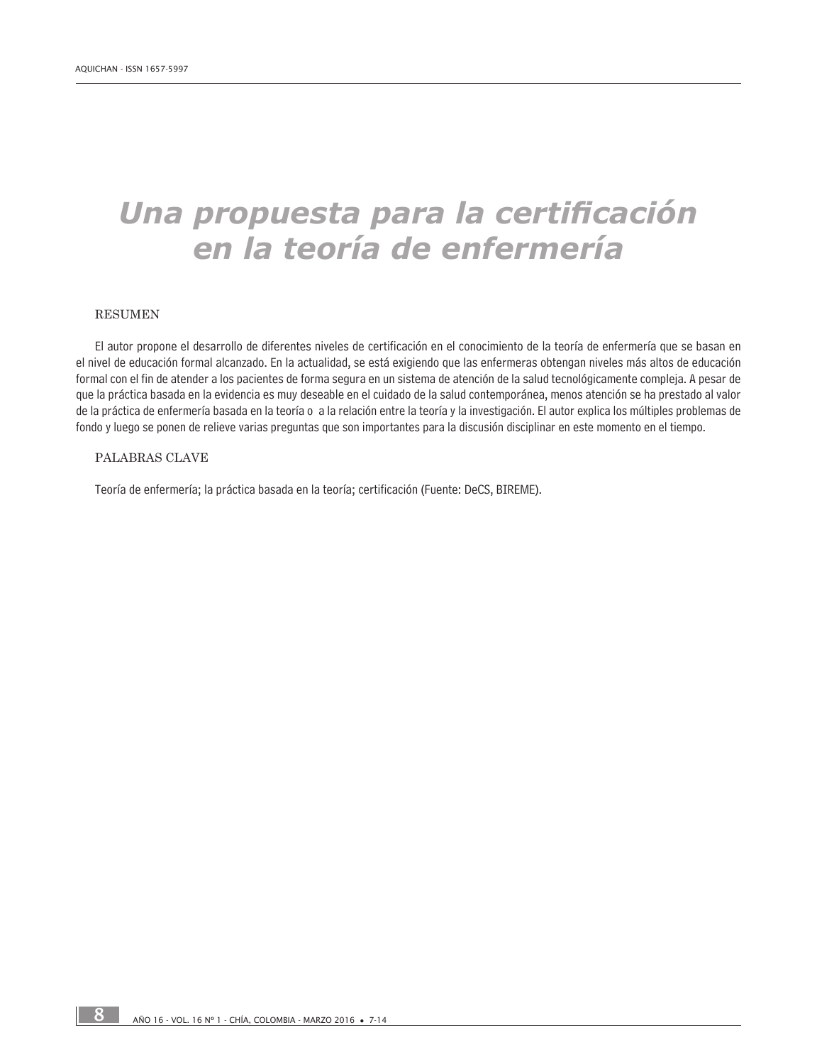# *Una propuesta para la certificación en la teoría de enfermería*

#### **RESUMEN**

El autor propone el desarrollo de diferentes niveles de certificación en el conocimiento de la teoría de enfermería que se basan en el nivel de educación formal alcanzado. En la actualidad, se está exigiendo que las enfermeras obtengan niveles más altos de educación formal con el fin de atender a los pacientes de forma segura en un sistema de atención de la salud tecnológicamente compleja. A pesar de que la práctica basada en la evidencia es muy deseable en el cuidado de la salud contemporánea, menos atención se ha prestado al valor de la práctica de enfermería basada en la teoría o a la relación entre la teoría y la investigación. El autor explica los múltiples problemas de fondo y luego se ponen de relieve varias preguntas que son importantes para la discusión disciplinar en este momento en el tiempo.

#### PALABRAS CLAVE

Teoría de enfermería; la práctica basada en la teoría; certificación (Fuente: DeCS, BIREME).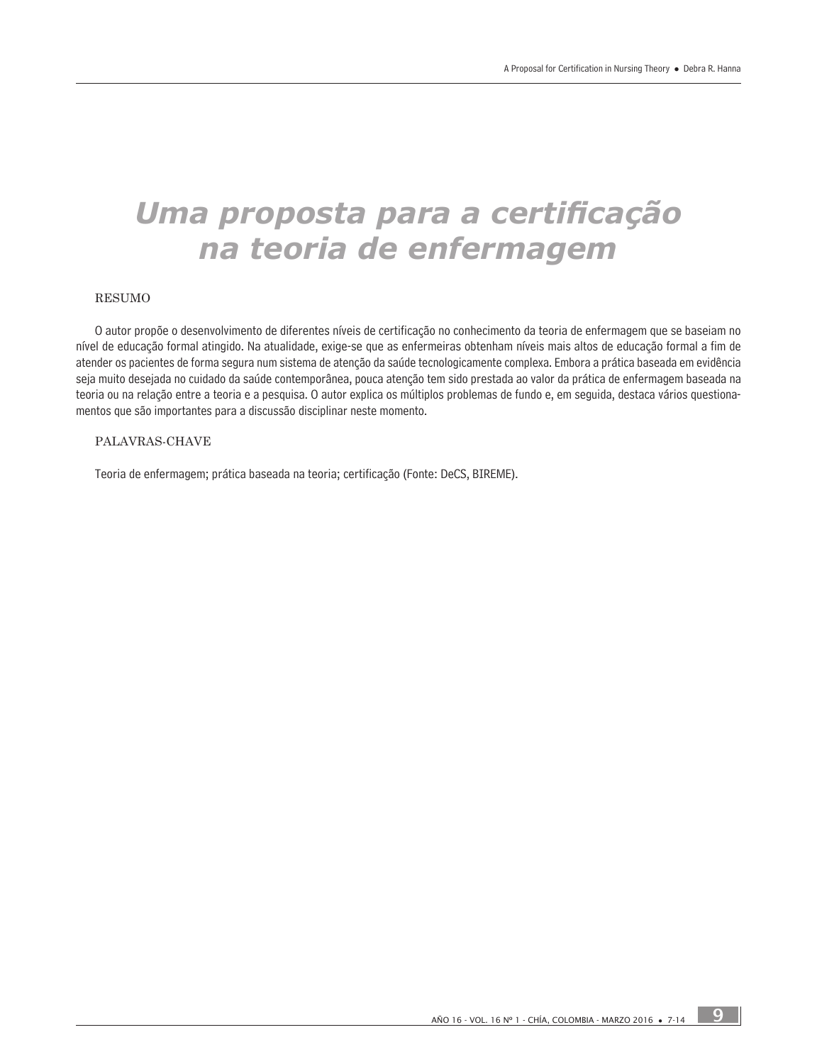# *Uma proposta para a certificação na teoria de enfermagem*

#### RESUMO

O autor propõe o desenvolvimento de diferentes níveis de certificação no conhecimento da teoria de enfermagem que se baseiam no nível de educação formal atingido. Na atualidade, exige-se que as enfermeiras obtenham níveis mais altos de educação formal a fim de atender os pacientes de forma segura num sistema de atenção da saúde tecnologicamente complexa. Embora a prática baseada em evidência seja muito desejada no cuidado da saúde contemporânea, pouca atenção tem sido prestada ao valor da prática de enfermagem baseada na teoria ou na relação entre a teoria e a pesquisa. O autor explica os múltiplos problemas de fundo e, em seguida, destaca vários questionamentos que são importantes para a discussão disciplinar neste momento.

#### PALAVRAS-CHAVE

Teoria de enfermagem; prática baseada na teoria; certificação (Fonte: DeCS, BIREME).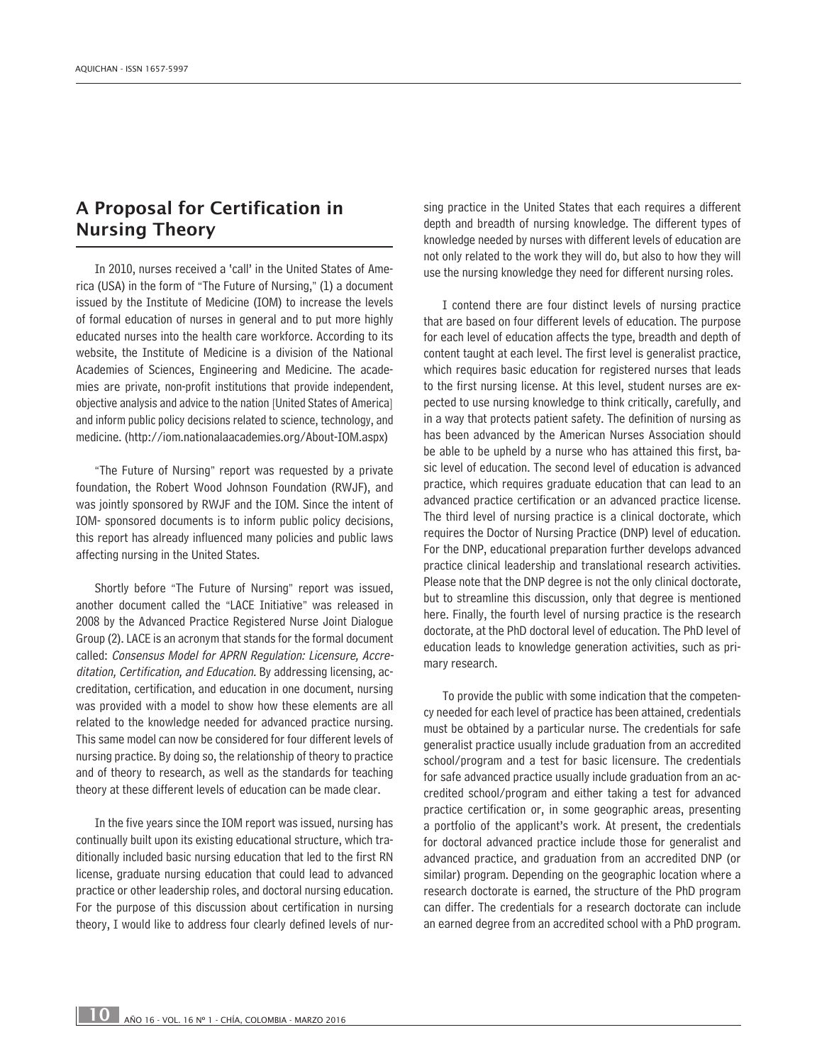# A Proposal for Certification in Nursing Theory

In 2010, nurses received a 'call' in the United States of America (USA) in the form of "The Future of Nursing," (1) a document issued by the Institute of Medicine (IOM) to increase the levels of formal education of nurses in general and to put more highly educated nurses into the health care workforce. According to its website, the Institute of Medicine is a division of the National Academies of Sciences, Engineering and Medicine. The academies are private, non-profit institutions that provide independent, objective analysis and advice to the nation [United States of America] and inform public policy decisions related to science, technology, and medicine. (http://iom.nationalaacademies.org/About-IOM.aspx)

"The Future of Nursing" report was requested by a private foundation, the Robert Wood Johnson Foundation (RWJF), and was jointly sponsored by RWJF and the IOM. Since the intent of IOM- sponsored documents is to inform public policy decisions, this report has already influenced many policies and public laws affecting nursing in the United States.

Shortly before "The Future of Nursing" report was issued, another document called the "LACE Initiative" was released in 2008 by the Advanced Practice Registered Nurse Joint Dialogue Group (2). LACE is an acronym that stands for the formal document called: Consensus Model for APRN Regulation: Licensure, Accreditation, Certification, and Education. By addressing licensing, accreditation, certification, and education in one document, nursing was provided with a model to show how these elements are all related to the knowledge needed for advanced practice nursing. This same model can now be considered for four different levels of nursing practice. By doing so, the relationship of theory to practice and of theory to research, as well as the standards for teaching theory at these different levels of education can be made clear.

In the five years since the IOM report was issued, nursing has continually built upon its existing educational structure, which traditionally included basic nursing education that led to the first RN license, graduate nursing education that could lead to advanced practice or other leadership roles, and doctoral nursing education. For the purpose of this discussion about certification in nursing theory, I would like to address four clearly defined levels of nursing practice in the United States that each requires a different depth and breadth of nursing knowledge. The different types of knowledge needed by nurses with different levels of education are not only related to the work they will do, but also to how they will use the nursing knowledge they need for different nursing roles.

I contend there are four distinct levels of nursing practice that are based on four different levels of education. The purpose for each level of education affects the type, breadth and depth of content taught at each level. The first level is generalist practice, which requires basic education for registered nurses that leads to the first nursing license. At this level, student nurses are expected to use nursing knowledge to think critically, carefully, and in a way that protects patient safety. The definition of nursing as has been advanced by the American Nurses Association should be able to be upheld by a nurse who has attained this first, basic level of education. The second level of education is advanced practice, which requires graduate education that can lead to an advanced practice certification or an advanced practice license. The third level of nursing practice is a clinical doctorate, which requires the Doctor of Nursing Practice (DNP) level of education. For the DNP, educational preparation further develops advanced practice clinical leadership and translational research activities. Please note that the DNP degree is not the only clinical doctorate, but to streamline this discussion, only that degree is mentioned here. Finally, the fourth level of nursing practice is the research doctorate, at the PhD doctoral level of education. The PhD level of education leads to knowledge generation activities, such as primary research.

To provide the public with some indication that the competency needed for each level of practice has been attained, credentials must be obtained by a particular nurse. The credentials for safe generalist practice usually include graduation from an accredited school/program and a test for basic licensure. The credentials for safe advanced practice usually include graduation from an accredited school/program and either taking a test for advanced practice certification or, in some geographic areas, presenting a portfolio of the applicant's work. At present, the credentials for doctoral advanced practice include those for generalist and advanced practice, and graduation from an accredited DNP (or similar) program. Depending on the geographic location where a research doctorate is earned, the structure of the PhD program can differ. The credentials for a research doctorate can include an earned degree from an accredited school with a PhD program.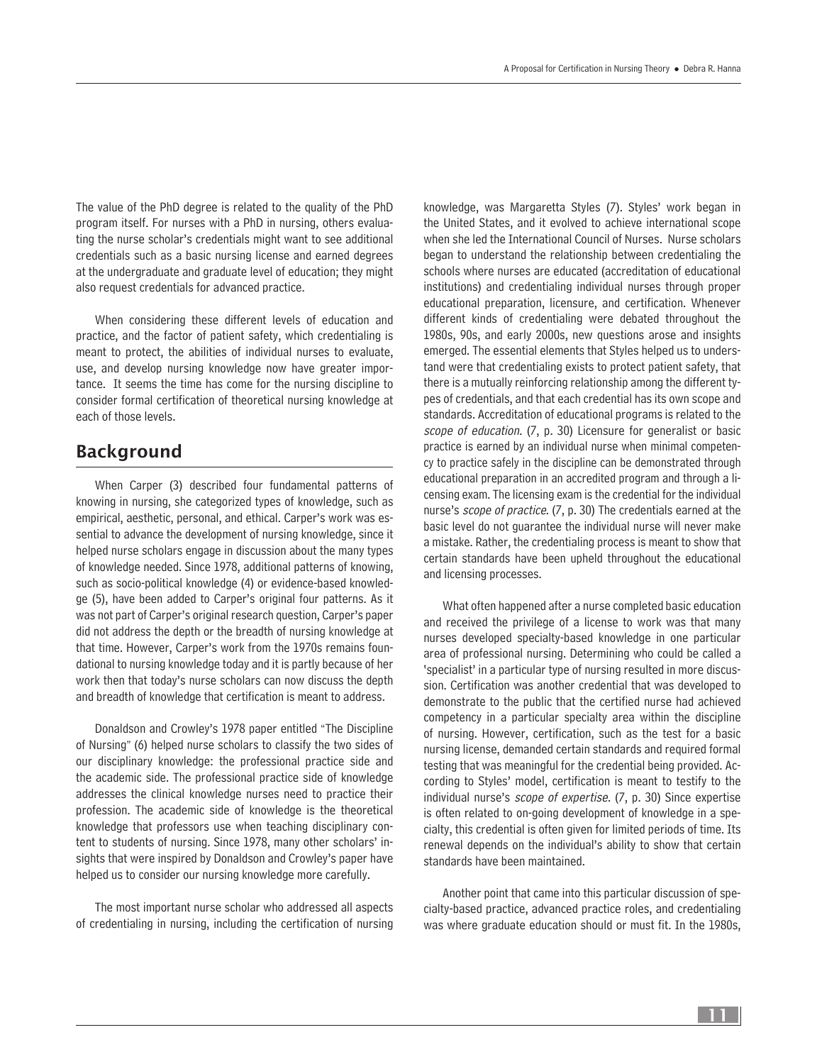The value of the PhD degree is related to the quality of the PhD program itself. For nurses with a PhD in nursing, others evaluating the nurse scholar's credentials might want to see additional credentials such as a basic nursing license and earned degrees at the undergraduate and graduate level of education; they might also request credentials for advanced practice.

When considering these different levels of education and practice, and the factor of patient safety, which credentialing is meant to protect, the abilities of individual nurses to evaluate, use, and develop nursing knowledge now have greater importance. It seems the time has come for the nursing discipline to consider formal certification of theoretical nursing knowledge at each of those levels.

### Background

When Carper (3) described four fundamental patterns of knowing in nursing, she categorized types of knowledge, such as empirical, aesthetic, personal, and ethical. Carper's work was essential to advance the development of nursing knowledge, since it helped nurse scholars engage in discussion about the many types of knowledge needed. Since 1978, additional patterns of knowing, such as socio-political knowledge (4) or evidence-based knowledge (5), have been added to Carper's original four patterns. As it was not part of Carper's original research question, Carper's paper did not address the depth or the breadth of nursing knowledge at that time. However, Carper's work from the 1970s remains foundational to nursing knowledge today and it is partly because of her work then that today's nurse scholars can now discuss the depth and breadth of knowledge that certification is meant to address.

Donaldson and Crowley's 1978 paper entitled "The Discipline of Nursing" (6) helped nurse scholars to classify the two sides of our disciplinary knowledge: the professional practice side and the academic side. The professional practice side of knowledge addresses the clinical knowledge nurses need to practice their profession. The academic side of knowledge is the theoretical knowledge that professors use when teaching disciplinary content to students of nursing. Since 1978, many other scholars' insights that were inspired by Donaldson and Crowley's paper have helped us to consider our nursing knowledge more carefully.

The most important nurse scholar who addressed all aspects of credentialing in nursing, including the certification of nursing

knowledge, was Margaretta Styles (7). Styles' work began in the United States, and it evolved to achieve international scope when she led the International Council of Nurses. Nurse scholars began to understand the relationship between credentialing the schools where nurses are educated (accreditation of educational institutions) and credentialing individual nurses through proper educational preparation, licensure, and certification. Whenever different kinds of credentialing were debated throughout the 1980s, 90s, and early 2000s, new questions arose and insights emerged. The essential elements that Styles helped us to understand were that credentialing exists to protect patient safety, that there is a mutually reinforcing relationship among the different types of credentials, and that each credential has its own scope and standards. Accreditation of educational programs is related to the scope of education. (7, p. 30) Licensure for generalist or basic practice is earned by an individual nurse when minimal competency to practice safely in the discipline can be demonstrated through educational preparation in an accredited program and through a licensing exam. The licensing exam is the credential for the individual nurse's scope of practice. (7, p. 30) The credentials earned at the basic level do not guarantee the individual nurse will never make a mistake. Rather, the credentialing process is meant to show that certain standards have been upheld throughout the educational and licensing processes.

What often happened after a nurse completed basic education and received the privilege of a license to work was that many nurses developed specialty-based knowledge in one particular area of professional nursing. Determining who could be called a 'specialist' in a particular type of nursing resulted in more discussion. Certification was another credential that was developed to demonstrate to the public that the certified nurse had achieved competency in a particular specialty area within the discipline of nursing. However, certification, such as the test for a basic nursing license, demanded certain standards and required formal testing that was meaningful for the credential being provided. According to Styles' model, certification is meant to testify to the individual nurse's scope of expertise. (7, p. 30) Since expertise is often related to on-going development of knowledge in a specialty, this credential is often given for limited periods of time. Its renewal depends on the individual's ability to show that certain standards have been maintained.

Another point that came into this particular discussion of specialty-based practice, advanced practice roles, and credentialing was where graduate education should or must fit. In the 1980s,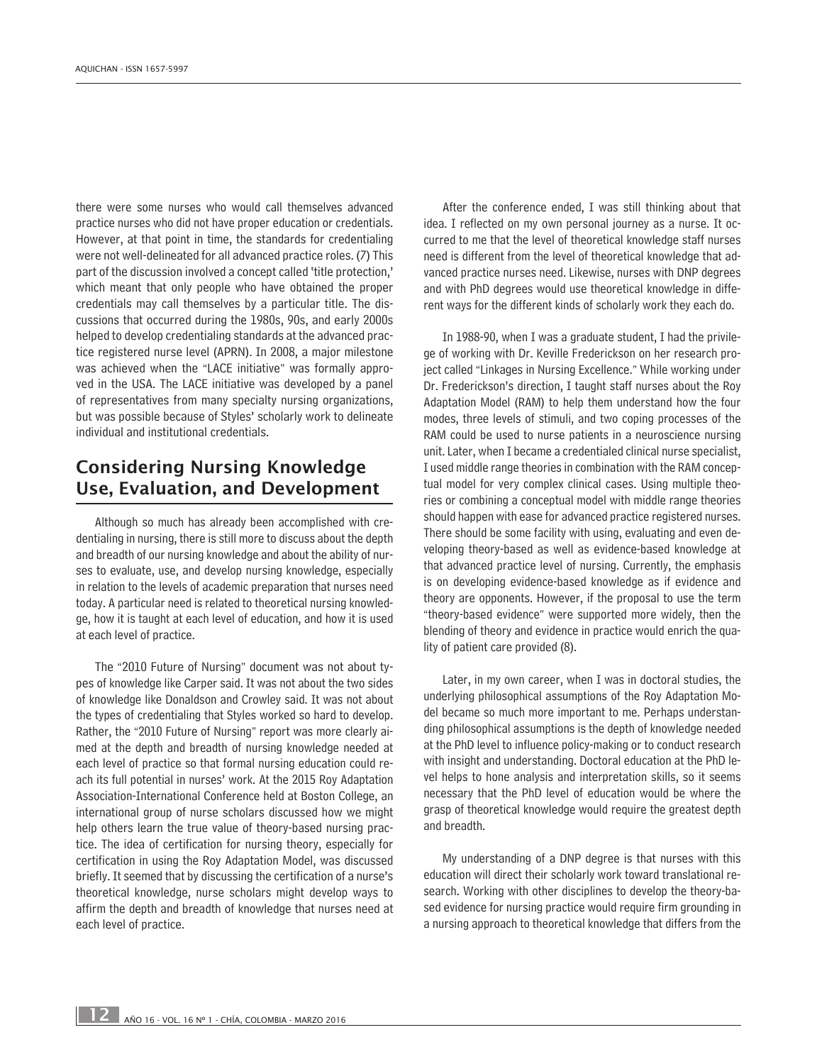there were some nurses who would call themselves advanced practice nurses who did not have proper education or credentials. However, at that point in time, the standards for credentialing were not well-delineated for all advanced practice roles. (7) This part of the discussion involved a concept called 'title protection,' which meant that only people who have obtained the proper credentials may call themselves by a particular title. The discussions that occurred during the 1980s, 90s, and early 2000s helped to develop credentialing standards at the advanced practice registered nurse level (APRN). In 2008, a major milestone was achieved when the "LACE initiative" was formally approved in the USA. The LACE initiative was developed by a panel of representatives from many specialty nursing organizations, but was possible because of Styles' scholarly work to delineate individual and institutional credentials.

## Considering Nursing Knowledge Use, Evaluation, and Development

Although so much has already been accomplished with credentialing in nursing, there is still more to discuss about the depth and breadth of our nursing knowledge and about the ability of nurses to evaluate, use, and develop nursing knowledge, especially in relation to the levels of academic preparation that nurses need today. A particular need is related to theoretical nursing knowledge, how it is taught at each level of education, and how it is used at each level of practice.

The "2010 Future of Nursing" document was not about types of knowledge like Carper said. It was not about the two sides of knowledge like Donaldson and Crowley said. It was not about the types of credentialing that Styles worked so hard to develop. Rather, the "2010 Future of Nursing" report was more clearly aimed at the depth and breadth of nursing knowledge needed at each level of practice so that formal nursing education could reach its full potential in nurses' work. At the 2015 Roy Adaptation Association-International Conference held at Boston College, an international group of nurse scholars discussed how we might help others learn the true value of theory-based nursing practice. The idea of certification for nursing theory, especially for certification in using the Roy Adaptation Model, was discussed briefly. It seemed that by discussing the certification of a nurse's theoretical knowledge, nurse scholars might develop ways to affirm the depth and breadth of knowledge that nurses need at each level of practice.

After the conference ended, I was still thinking about that idea. I reflected on my own personal journey as a nurse. It occurred to me that the level of theoretical knowledge staff nurses need is different from the level of theoretical knowledge that advanced practice nurses need. Likewise, nurses with DNP degrees and with PhD degrees would use theoretical knowledge in different ways for the different kinds of scholarly work they each do.

In 1988-90, when I was a graduate student, I had the privilege of working with Dr. Keville Frederickson on her research project called "Linkages in Nursing Excellence." While working under Dr. Frederickson's direction, I taught staff nurses about the Roy Adaptation Model (RAM) to help them understand how the four modes, three levels of stimuli, and two coping processes of the RAM could be used to nurse patients in a neuroscience nursing unit. Later, when I became a credentialed clinical nurse specialist, I used middle range theories in combination with the RAM conceptual model for very complex clinical cases. Using multiple theories or combining a conceptual model with middle range theories should happen with ease for advanced practice registered nurses. There should be some facility with using, evaluating and even developing theory-based as well as evidence-based knowledge at that advanced practice level of nursing. Currently, the emphasis is on developing evidence-based knowledge as if evidence and theory are opponents. However, if the proposal to use the term "theory-based evidence" were supported more widely, then the blending of theory and evidence in practice would enrich the quality of patient care provided (8).

Later, in my own career, when I was in doctoral studies, the underlying philosophical assumptions of the Roy Adaptation Model became so much more important to me. Perhaps understanding philosophical assumptions is the depth of knowledge needed at the PhD level to influence policy-making or to conduct research with insight and understanding. Doctoral education at the PhD level helps to hone analysis and interpretation skills, so it seems necessary that the PhD level of education would be where the grasp of theoretical knowledge would require the greatest depth and breadth.

My understanding of a DNP degree is that nurses with this education will direct their scholarly work toward translational research. Working with other disciplines to develop the theory-based evidence for nursing practice would require firm grounding in a nursing approach to theoretical knowledge that differs from the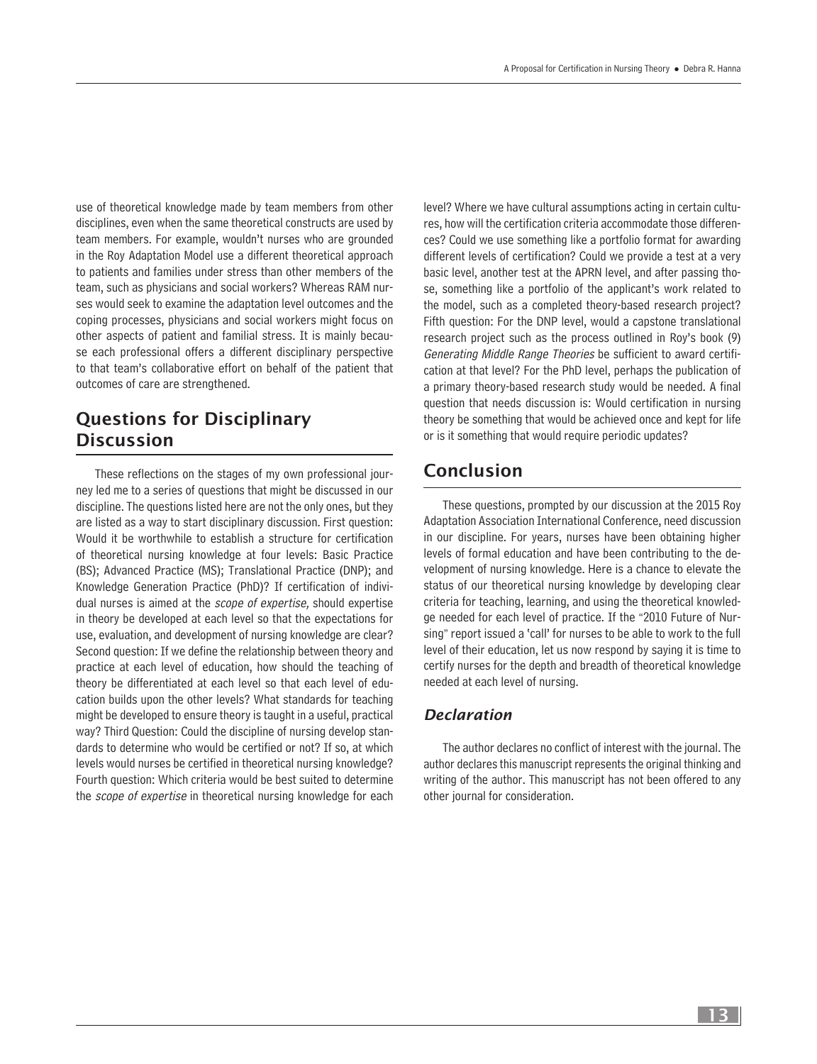use of theoretical knowledge made by team members from other disciplines, even when the same theoretical constructs are used by team members. For example, wouldn't nurses who are grounded in the Roy Adaptation Model use a different theoretical approach to patients and families under stress than other members of the team, such as physicians and social workers? Whereas RAM nurses would seek to examine the adaptation level outcomes and the coping processes, physicians and social workers might focus on other aspects of patient and familial stress. It is mainly because each professional offers a different disciplinary perspective to that team's collaborative effort on behalf of the patient that outcomes of care are strengthened.

## Questions for Disciplinary **Discussion**

These reflections on the stages of my own professional journey led me to a series of questions that might be discussed in our discipline. The questions listed here are not the only ones, but they are listed as a way to start disciplinary discussion. First question: Would it be worthwhile to establish a structure for certification of theoretical nursing knowledge at four levels: Basic Practice (BS); Advanced Practice (MS); Translational Practice (DNP); and Knowledge Generation Practice (PhD)? If certification of individual nurses is aimed at the *scope of expertise*, should expertise in theory be developed at each level so that the expectations for use, evaluation, and development of nursing knowledge are clear? Second question: If we define the relationship between theory and practice at each level of education, how should the teaching of theory be differentiated at each level so that each level of education builds upon the other levels? What standards for teaching might be developed to ensure theory is taught in a useful, practical way? Third Question: Could the discipline of nursing develop standards to determine who would be certified or not? If so, at which levels would nurses be certified in theoretical nursing knowledge? Fourth question: Which criteria would be best suited to determine the *scope of expertise* in theoretical nursing knowledge for each level? Where we have cultural assumptions acting in certain cultures, how will the certification criteria accommodate those differences? Could we use something like a portfolio format for awarding different levels of certification? Could we provide a test at a very basic level, another test at the APRN level, and after passing those, something like a portfolio of the applicant's work related to the model, such as a completed theory-based research project? Fifth question: For the DNP level, would a capstone translational research project such as the process outlined in Roy's book (9) Generating Middle Range Theories be sufficient to award certification at that level? For the PhD level, perhaps the publication of a primary theory-based research study would be needed. A final question that needs discussion is: Would certification in nursing theory be something that would be achieved once and kept for life or is it something that would require periodic updates?

# Conclusion

These questions, prompted by our discussion at the 2015 Roy Adaptation Association International Conference, need discussion in our discipline. For years, nurses have been obtaining higher levels of formal education and have been contributing to the development of nursing knowledge. Here is a chance to elevate the status of our theoretical nursing knowledge by developing clear criteria for teaching, learning, and using the theoretical knowledge needed for each level of practice. If the "2010 Future of Nursing" report issued a 'call' for nurses to be able to work to the full level of their education, let us now respond by saying it is time to certify nurses for the depth and breadth of theoretical knowledge needed at each level of nursing.

#### *Declaration*

The author declares no conflict of interest with the journal. The author declares this manuscript represents the original thinking and writing of the author. This manuscript has not been offered to any other journal for consideration.